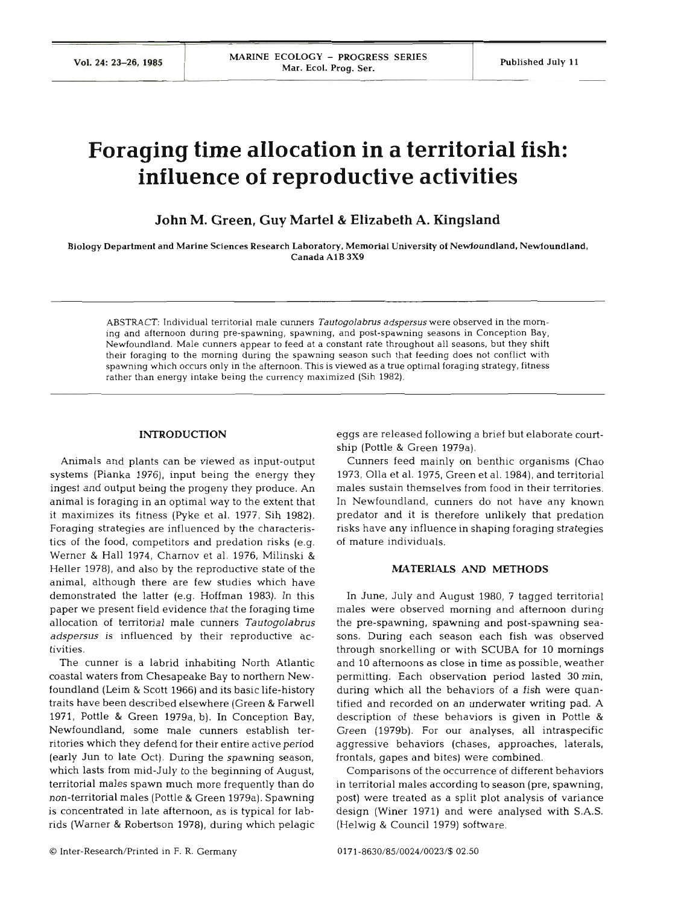# **Foraging time allocation in a territorial fish: influence of reproductive activities**

**John M. Green, Guy Martel** & **Elizabeth A. Kingsland** 

**Biology Department and Marine Sciences Research Laboratory. Memorial University of Newfoundland. Newfoundland. Canada A1B 3x9** 

**ABSTRACT: Individual territorial male cunners** *Tautogolabrus adspersus* **were observed in the morning and afternoon during pre-spawning, spawning, and post-spawning seasons in Conception Bay, Newfoundland. Male cunners appear to feed at a constant rate throughout all seasons, but they shift their foraging to the morning during the spawning season such that feeding does not conflict with spawning which occurs only in the afternoon. This is viewed as a true optimal foraging strategy, fitness rather than energy intake being the currency maximized (Sih 1982).** 

## **INTRODUCTION**

Animals and plants can be viewed as input-output systems (Pianka 1976), input being the energy they ingest and output being the progeny they produce. An animal is foraging in an optimal way to the extent that it maximizes its fitness (Pyke et al. 1977, Sih 1982). Foraging strategies are influenced by the characteristics of the food, competitors and predation risks (e.g. Werner & Hall 1974, Charnov et al. 1976, Milinski & Heller 1978), and also by the reproductive state of the animal, although there are few studies which have demonstrated the latter (e.g. Hoffman 1983). In this paper we present field evidence that the foraging time allocation of territorial male cunners *Tautogolabrus adspersus* is influenced by their reproductive activi

The cunner is a labrid inhabiting North Atlantic coastal waters from Chesapeake Bay to northern Newfoundland (Leim & Scott 1966) and its basic life-history traits have been described elsewhere (Green & Fanvell 1971, Pottle & Green 1979a, b). In Conception Bay, Newfoundland, some male cunners establish territories which they defend for their entire active period (early Jun to late Oct). During the spawning season, which lasts from mid-July to the beginning of August, territorial males spawn much more frequently than do non-territorial males (Pottle & Green 1979a). Spawning is concentrated in late afternoon, as is typical for labrids (Warner & Robertson 1978), during which pelagic

eggs are released following a brief but elaborate courtship (Pottle & Green 1979a).

Cunners feed mainly on benthic organisms (Chao 1973, Olla et al. 1975, Green et al. 1984). and territorial  $\, \Box \,$  males sustain themselves from food in their territo In Newfoundland, cunners do not have any known predator and it is therefore unlikely that predation risks have any influence in shaping foraging strategies of mature individuals.

### **MATERIALS AND METHO**

In June, July and August 1980, 7 tagged territorial males were observed morning and afternoon during the pre-spawning, spawning and post-spawning seasons. During each season each fish was observed through snorkelling or with SCUBA for 10 mornings and 10 afternoons as close in time as possible, weather permitting. Each observation period lasted 30 min, during which all the behaviors of a fish were quantified and recorded on an underwater writing pad. A description of these behaviors is given in Pottle & Green (1979b). For our analyses, all intraspecific aggressive behaviors (chases, approaches, laterals, frontals, gapes and bites) were combined.

Comparisons of the occurrence of different behaviors in territorial males according to season (pre, spawning, post) were treated as a split plot analysis of variance design (Winer 1971) and were analysed with S.A.S. (Helwig & Council 1979) software.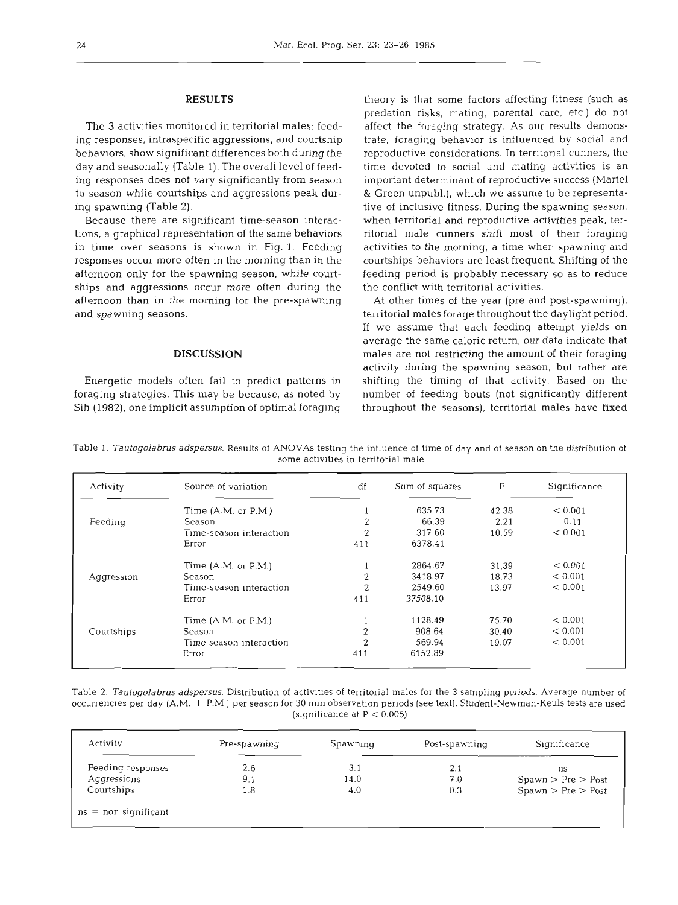# RESULTS

The **3** activities monitored in territorial males: feeding responses, intraspecific aggressions, and courtship behaviors, show significant differences both during the day and seasonally (Table 1). The overall level of feeding responses does not vary significantly from season to season while courtships and aggressions peak during spawning (Table 2).

Because there are significant time-season interactions, a graphical representation of the same behaviors in time over seasons is shown in Fig. 1. Feeding responses occur more often in the morning than in the afternoon only for the spawning season, while courtships and aggressions occur more often during the afternoon than in the morning for the pre-spawning and spawning seasons.

## DISCUSSION

Energetic models often fail to predict patterns in foraging strategies. This may be because, as noted by Sih (1982), one implicit assumption of optimal foraging

theory is that some factors affecting fitness (such as predation risks, mating, parental care, etc.) do not affect the foraging strategy. As our results demonstrate, foraging behavior is influenced by social and reproductive considerations. In territorial cunners, the time devoted to social and mating activities is an important determinant of reproductive success (Martel & Green unpubl.), which we assume to be representative of inclusive fitness. During the spawning season, when territorial and reproductive activities peak, territorial male cunners shift most of their foraging activities to the morning, a time when spawning and courtships behaviors are least frequent. Shifting of the feeding period is probably necessary so as to reduce the conflict with territorial activities.

At other times of the year (pre and post-spawning), territorial males forage throughout the daylight period. If we assume that each feeding attempt yields on average the same caloric return, our data indicate that males are not restricting the amount of their foraging activity during the spawning season, but rather are shifting the timing of that activity. Based on the number of feeding bouts (not significantly different throughout the seasons), territorial males have fixed

Table 1. *Tautogolabrus adspersus.* Results of ANOVAs testing the influence of time of day and of season on the distribution of some activities in territorial male

| Activity   | Source of variation      | df             | Sum of squares | F     | Significance |
|------------|--------------------------|----------------|----------------|-------|--------------|
|            | Time $(A.M.$ or $P.M.$ ) |                | 635.73         | 42.38 | < 0.001      |
| Feeding    | Season                   | 2              | 66.39          | 2.21  | 0.11         |
|            | Time-season interaction  | $\overline{2}$ | 317.60         | 10.59 | < 0.001      |
|            | Error                    | 411            | 6378.41        |       |              |
|            | Time $(A.M.$ or $P.M.$ ) |                | 2864.67        | 31.39 | < 0.001      |
| Aggression | Season                   | 2              | 3418.97        | 18.73 | < 0.001      |
|            | Time-season interaction  | $\overline{2}$ | 2549.60        | 13.97 | < 0.001      |
|            | Error                    | 411            | 37508.10       |       |              |
|            | Time $(A.M.$ or $P.M.$ ) |                | 1128.49        | 75.70 | < 0.001      |
| Courtships | Season                   | 2              | 908.64         | 30.40 | < 0.001      |
|            | Time-season interaction  | 2              | 569.94         | 19.07 | < 0.001      |
|            | Error                    | 411            | 6152.89        |       |              |

Table 2. *Tautogolabrus adspersus.* Distribution of activities of territorial males for the 3 sampling periods. Average number of occurrencies per day (A.M. + P.M.) per season for 30 min observation periods (see text). Student-Newman-Keuls tests are used (significance at  $P < 0.005$ )

| Activity               | Pre-spawning | Spawning | Post-spawning | Significance       |
|------------------------|--------------|----------|---------------|--------------------|
| Feeding responses      | 2.6          | 3.1      | 2.1           | ns                 |
| Aggressions            | 9.1          | 14.0     | 7.0           | Spawn > Pre > Post |
| Courtships             | 1.8          | 4.0      | 0.3           | Spawn > Pre > Post |
| $ns = non significant$ |              |          |               |                    |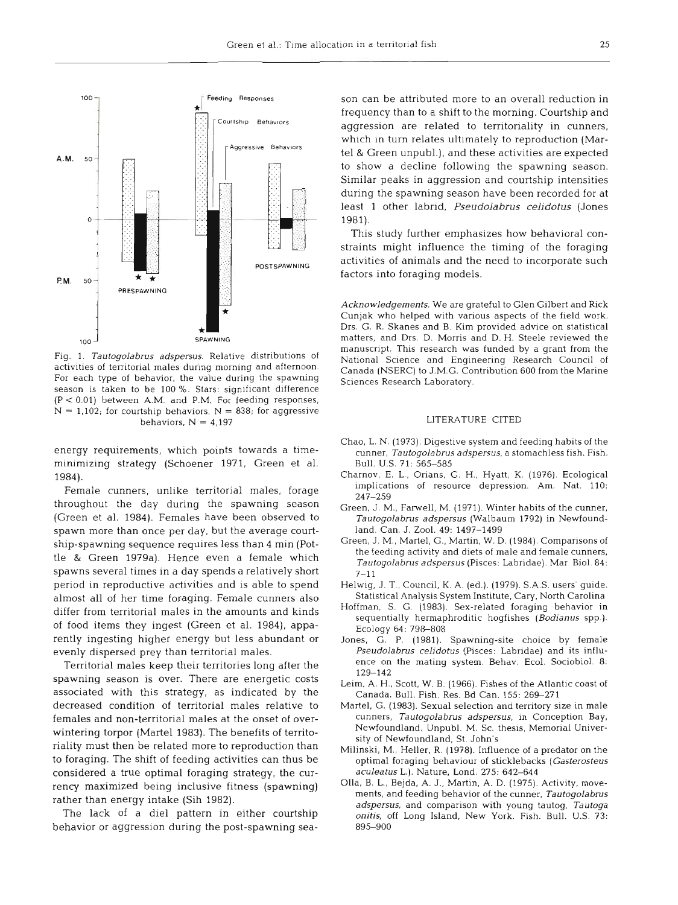

Fig. 1. *Tautogolabms adspersus.* Relative distributions of activities of territorial males during morning and afternoon. For each type of behavior, the value during the spawning season is taken to be 100 %. Stars: significant difference (P < 0.01) between A.M. and P.M. For feeding responses,  $N = 1,102$ ; for courtship behaviors,  $N = 838$ ; for aggressive behaviors,  $N = 4.197$ 

energy requirements, which points towards a timeminimizing strategy (Schoener 1971, Green et al. 1984).

Female cunners, unlike territorial males, forage throughout the day during the spawning season (Green et al. 1984). Females have been observed to spawn more than once per day, but the average courtship-spawning sequence requires less than 4 min (Pottle & Green 1979a). Hence even a female which spawns several times in a day spends a relatively short period in reproductive activities and is able to spend almost all of her time foraging. Female cunners also differ from territorial males in the amounts and kind of food items they ingest (Green et al. 1984), apparently ingesting higher energy but less abundant or evenly dispersed prey than territorial males.

Territorial males keep their territories long after the spawning season is over. There are energetic costs associated with this strategy, as indicated by the decreased condition of territorial males relative t females and non-territorial males at the onset of overwintering torpor (Martel 1983). The benefits of territoriality must then be related more to reproduction than to foraging. The shift of feeding activities can thus be considered a true optimal foraging strategy, the currency maximized being inclusive fitness (spawning) rather than energy intake (Sih 1982).

The lack of a die1 pattern in either courtship behavior or aggression during the post-spawning sea-

son can be attributed more to an overall reduction in frequency than to a shift to the morning. Courtship and aggression are related to territoriality in cunners, which in turn relates ultimately to reproduction (Martel & Green unpubl.), and these activities are expected to show a decline following the spawning season. Similar peaks in aggression and courtship intensities during the spawning season have been recorded for at least 1 other labrid, *Pseudolabrus celidotus* (Jones 1981).

This study further emphasizes how behavioral constraints might influence the timing of the foraging activities of animals and the need to incorporate such factors into foraging models.

*Acknowledgements.* We are grateful to Glen Gilbert and Rick Cunjak who helped with various aspects of the field work. Drs. G. R. Skanes and B. Kim provided advice on statistical matters, and Drs. D. Morris and D. H. Steele reviewed the manuscript. This research was funded by a grant from the National Science and Engineering Research Council of Canada (NSERC) to J.M.G. Contribution 600 from the Marine Sciences Research Laboratory.

### LITERATURE CITE

- Chao, L. N. (1973). Digestive system and feeding habits of the cunner, *Tautogolabrus adspersus,* a stomachless fish. Fish. Bull. U.S. 71: 565–5
- Charnov, E. L., Orians, G. H., Hyatt, K. (1976). Ecological implications of resource depression. Am. Nat. 110: 247-259
- Green, J. M,, Farwell, M. (1971). Winter habits of the cunner, *Tautogolabrus adspersus* (Walbaum 1792) in Newfoundland. Can. J. Zool. 49: 1497–14!
- Green, J. M,, Martel, G., Martin, W. D. (1984). Comparisons of the feeding activity and diets of male and female cunners. *Tautogolabrus adspersus* (Pisces: Labridae). Mar. Biol. 84:  $7 - 11$
- Helwig, J. T., Council, K. A. (ed.). (1979). S.A.S. users' guide. Statistical Analysis System Institute, Cary. North Carolina
- Hoffman. S. G. (1983). Sex-related foraging behavior in sequentially hermaphroditic hogfishes *(Bodianus* spp.). Ecology 64: 798-808
- Jones. G. P. (1981). Spawning-site choice by female *Pseudolabrus celidotus* (Pisces: Labridae) and its influence on the mating system. Behav. Ecol. Sociobiol. 8: 129-142
- Leim, A. H., Scott, W. B. (1966). Fishes of the Atlantic coast of Canada. Bull. Fish. Res. Bd Can. 155: 269-271
- Martel, G. (1983). Sexual selection and territory size in male cunners, *Tautogolabrus adspersus,* in Conception Bay, Newfoundland. Unpubl. M. Sc. thesis, Memorial University of Newfoundland, St. John's
- Milinski, M., Heller, R. (1978). Influence of a predator on the optimal foraging behaviour of sticklebacks *(Gasterosteus aculeatus* L.). Nature, Lond. 275: 642-644
- Olla, B. L., Bejda, A. J., Martin, A. D. (1975). Activity, movements, and feeding behavior of the cunner, *Tautogolabms adspersus,* and comparison with young tautog, *Tautoga onitis,* off Long Island, New York. Fish. Bull. U.S. 73: 895-900